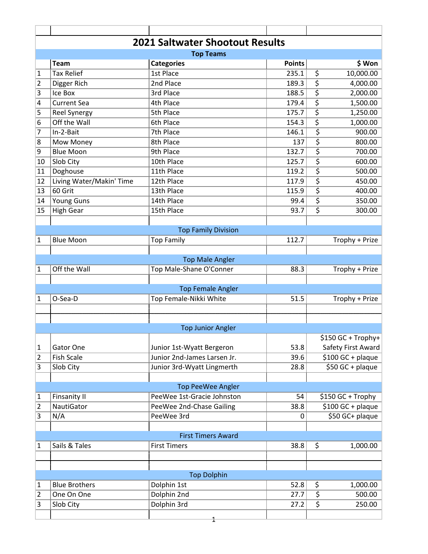| <b>2021 Saltwater Shootout Results</b> |                                      |                                                 |                |                                  |  |  |  |  |
|----------------------------------------|--------------------------------------|-------------------------------------------------|----------------|----------------------------------|--|--|--|--|
|                                        |                                      | <b>Top Teams</b>                                |                |                                  |  |  |  |  |
|                                        | <b>Team</b>                          | <b>Categories</b>                               | <b>Points</b>  | \$ Won                           |  |  |  |  |
| $\mathbf{1}$                           | <b>Tax Relief</b>                    | 1st Place                                       | 235.1          | \$<br>10,000.00                  |  |  |  |  |
| $\overline{2}$                         | Digger Rich                          | 2nd Place                                       | 189.3          | \$<br>4,000.00                   |  |  |  |  |
| 3                                      | Ice Box                              | 3rd Place                                       | 188.5          | \$<br>2,000.00                   |  |  |  |  |
| 4                                      | <b>Current Sea</b>                   | 4th Place<br>5th Place                          | 179.4          | \$<br>1,500.00<br>\$             |  |  |  |  |
| 5                                      | <b>Reel Synergy</b><br>Off the Wall  | 6th Place                                       | 175.7          | 1,250.00                         |  |  |  |  |
| 6<br>$\overline{7}$                    | In-2-Bait                            | 7th Place                                       | 154.3<br>146.1 | \$<br>1,000.00<br>\$             |  |  |  |  |
|                                        |                                      | 8th Place                                       |                | 900.00<br>\$                     |  |  |  |  |
| 8                                      | Mow Money<br><b>Blue Moon</b>        | 9th Place                                       | 137            | 800.00                           |  |  |  |  |
| 9                                      |                                      | 10th Place                                      | 132.7<br>125.7 | \$<br>700.00<br>\$               |  |  |  |  |
| 10                                     | Slob City                            | 11th Place                                      |                | 600.00<br>\$                     |  |  |  |  |
| 11                                     | Doghouse<br>Living Water/Makin' Time | 12th Place                                      | 119.2<br>117.9 | 500.00<br>\$<br>450.00           |  |  |  |  |
| 12<br>13                               | 60 Grit                              | 13th Place                                      | 115.9          | \$<br>400.00                     |  |  |  |  |
|                                        |                                      | 14th Place                                      | 99.4           | $\overline{\varsigma}$           |  |  |  |  |
| 14                                     | <b>Young Guns</b>                    | 15th Place                                      |                | 350.00<br>$\overline{\varsigma}$ |  |  |  |  |
| 15                                     | <b>High Gear</b>                     |                                                 | 93.7           | 300.00                           |  |  |  |  |
|                                        |                                      |                                                 |                |                                  |  |  |  |  |
|                                        | <b>Blue Moon</b>                     | <b>Top Family Division</b><br><b>Top Family</b> | 112.7          | Trophy + Prize                   |  |  |  |  |
| $\mathbf{1}$                           |                                      |                                                 |                |                                  |  |  |  |  |
|                                        |                                      | <b>Top Male Angler</b>                          |                |                                  |  |  |  |  |
| $\mathbf{1}$                           | Off the Wall                         | Top Male-Shane O'Conner                         | 88.3           | Trophy + Prize                   |  |  |  |  |
|                                        |                                      |                                                 |                |                                  |  |  |  |  |
|                                        |                                      | <b>Top Female Angler</b>                        |                |                                  |  |  |  |  |
| 1                                      | O-Sea-D                              | Top Female-Nikki White                          | 51.5           | Trophy + Prize                   |  |  |  |  |
|                                        |                                      |                                                 |                |                                  |  |  |  |  |
|                                        |                                      |                                                 |                |                                  |  |  |  |  |
|                                        |                                      | <b>Top Junior Angler</b>                        |                |                                  |  |  |  |  |
|                                        |                                      |                                                 |                | \$150 GC + Trophy+               |  |  |  |  |
| $\mathbf{1}$                           | Gator One                            | Junior 1st-Wyatt Bergeron                       | 53.8           | Safety First Award               |  |  |  |  |
| $\overline{2}$                         | <b>Fish Scale</b>                    | Junior 2nd-James Larsen Jr.                     | 39.6           | $$100$ GC + plaque               |  |  |  |  |
| 3                                      | Slob City                            | Junior 3rd-Wyatt Lingmerth                      | 28.8           | $$50$ GC + plaque                |  |  |  |  |
|                                        |                                      |                                                 |                |                                  |  |  |  |  |
|                                        |                                      | <b>Top PeeWee Angler</b>                        |                |                                  |  |  |  |  |
| $\mathbf{1}$                           | <b>Finsanity II</b>                  | PeeWee 1st-Gracie Johnston                      | 54             | \$150 GC + Trophy                |  |  |  |  |
| $\overline{2}$                         | <b>NautiGator</b>                    | PeeWee 2nd-Chase Gailing                        | 38.8           | \$100 GC + plaque                |  |  |  |  |
| 3                                      | N/A                                  | PeeWee 3rd                                      | 0              | \$50 GC+ plaque                  |  |  |  |  |
|                                        |                                      |                                                 |                |                                  |  |  |  |  |
|                                        | <b>First Timers Award</b>            |                                                 |                |                                  |  |  |  |  |
| $\mathbf{1}$                           | Sails & Tales                        | <b>First Timers</b>                             | 38.8           | \$<br>1,000.00                   |  |  |  |  |
|                                        |                                      |                                                 |                |                                  |  |  |  |  |
|                                        |                                      |                                                 |                |                                  |  |  |  |  |
|                                        |                                      | <b>Top Dolphin</b>                              |                |                                  |  |  |  |  |
| $\mathbf{1}$                           | <b>Blue Brothers</b>                 | Dolphin 1st                                     | 52.8           | \$<br>1,000.00                   |  |  |  |  |
| $\overline{2}$                         | One On One                           | Dolphin 2nd                                     | 27.7           | \$<br>500.00                     |  |  |  |  |
| 3                                      | Slob City                            | Dolphin 3rd                                     | 27.2           | $\overline{\varsigma}$<br>250.00 |  |  |  |  |
|                                        |                                      |                                                 |                |                                  |  |  |  |  |
|                                        |                                      |                                                 |                |                                  |  |  |  |  |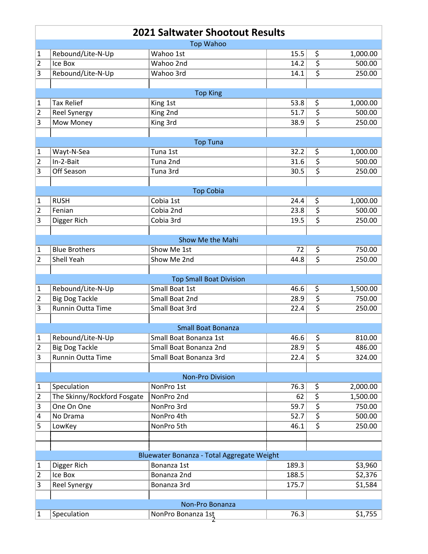| <b>2021 Saltwater Shootout Results</b> |                             |                                            |       |                         |          |  |  |
|----------------------------------------|-----------------------------|--------------------------------------------|-------|-------------------------|----------|--|--|
| <b>Top Wahoo</b>                       |                             |                                            |       |                         |          |  |  |
| 1                                      | Rebound/Lite-N-Up           | Wahoo 1st                                  | 15.5  | \$                      | 1,000.00 |  |  |
| $\overline{2}$                         | Ice Box                     | Wahoo 2nd                                  | 14.2  | $\overline{\varsigma}$  | 500.00   |  |  |
| 3                                      | Rebound/Lite-N-Up           | Wahoo 3rd                                  | 14.1  | $\overline{\varsigma}$  | 250.00   |  |  |
|                                        |                             |                                            |       |                         |          |  |  |
|                                        |                             | <b>Top King</b>                            |       |                         |          |  |  |
| 1                                      | <b>Tax Relief</b>           | King 1st                                   | 53.8  | \$                      | 1,000.00 |  |  |
| $\overline{2}$                         | Reel Synergy                | King 2nd                                   | 51.7  | \$                      | 500.00   |  |  |
| 3                                      | Mow Money                   | King 3rd                                   | 38.9  | $\overline{\xi}$        | 250.00   |  |  |
|                                        |                             | <b>Top Tuna</b>                            |       |                         |          |  |  |
| 1                                      | Wayt-N-Sea                  | Tuna 1st                                   | 32.2  | \$                      | 1,000.00 |  |  |
| 2                                      | In-2-Bait                   | Tuna 2nd                                   | 31.6  | \$                      | 500.00   |  |  |
| 3                                      | Off Season                  | Tuna 3rd                                   | 30.5  | \$                      | 250.00   |  |  |
|                                        |                             |                                            |       |                         |          |  |  |
|                                        |                             | <b>Top Cobia</b>                           |       |                         |          |  |  |
| 1                                      | <b>RUSH</b>                 | Cobia 1st                                  | 24.4  | \$                      | 1,000.00 |  |  |
| $\overline{2}$                         | Fenian                      | Cobia 2nd                                  | 23.8  | $\overline{\varsigma}$  | 500.00   |  |  |
| 3                                      | Digger Rich                 | Cobia 3rd                                  | 19.5  | $\overline{\mathsf{s}}$ | 250.00   |  |  |
|                                        |                             |                                            |       |                         |          |  |  |
|                                        |                             | Show Me the Mahi                           |       |                         |          |  |  |
| 1                                      | <b>Blue Brothers</b>        | Show Me 1st                                | 72    | \$                      | 750.00   |  |  |
| 2                                      | Shell Yeah                  | Show Me 2nd                                | 44.8  | $\overline{\varsigma}$  | 250.00   |  |  |
|                                        |                             | <b>Top Small Boat Division</b>             |       |                         |          |  |  |
| 1                                      | Rebound/Lite-N-Up           | Small Boat 1st                             | 46.6  | \$                      | 1,500.00 |  |  |
| $\overline{2}$                         | <b>Big Dog Tackle</b>       | Small Boat 2nd                             | 28.9  | \$                      | 750.00   |  |  |
| 3                                      | Runnin Outta Time           | Small Boat 3rd                             | 22.4  | \$                      | 250.00   |  |  |
|                                        |                             |                                            |       |                         |          |  |  |
|                                        |                             | <b>Small Boat Bonanza</b>                  |       |                         |          |  |  |
| $\mathbf{1}$                           | Rebound/Lite-N-Up           | Small Boat Bonanza 1st                     | 46.6  | \$                      | 810.00   |  |  |
| $\overline{2}$                         | <b>Big Dog Tackle</b>       | Small Boat Bonanza 2nd                     | 28.9  | \$                      | 486.00   |  |  |
| 3                                      | Runnin Outta Time           | Small Boat Bonanza 3rd                     | 22.4  | $\overline{\varsigma}$  | 324.00   |  |  |
|                                        |                             |                                            |       |                         |          |  |  |
|                                        |                             | <b>Non-Pro Division</b>                    |       |                         |          |  |  |
| 1                                      | Speculation                 | NonPro 1st                                 | 76.3  | \$                      | 2,000.00 |  |  |
| 2                                      | The Skinny/Rockford Fosgate | NonPro 2nd                                 | 62    | \$                      | 1,500.00 |  |  |
| 3                                      | One On One                  | NonPro 3rd                                 | 59.7  | \$                      | 750.00   |  |  |
| 4                                      | No Drama                    | NonPro 4th                                 | 52.7  | \$                      | 500.00   |  |  |
| 5                                      | LowKey                      | NonPro 5th                                 | 46.1  | \$                      | 250.00   |  |  |
|                                        |                             |                                            |       |                         |          |  |  |
|                                        |                             | Bluewater Bonanza - Total Aggregate Weight |       |                         |          |  |  |
| 1                                      | Digger Rich                 | Bonanza 1st                                | 189.3 |                         | \$3,960  |  |  |
| $\overline{2}$                         | Ice Box                     | Bonanza 2nd                                | 188.5 |                         | \$2,376  |  |  |
| 3                                      | <b>Reel Synergy</b>         | Bonanza 3rd                                | 175.7 |                         | \$1,584  |  |  |
|                                        |                             |                                            |       |                         |          |  |  |
| Non-Pro Bonanza                        |                             |                                            |       |                         |          |  |  |
| 1                                      | Speculation                 | NonPro Bonanza 1st                         | 76.3  |                         | \$1,755  |  |  |
|                                        |                             |                                            |       |                         |          |  |  |